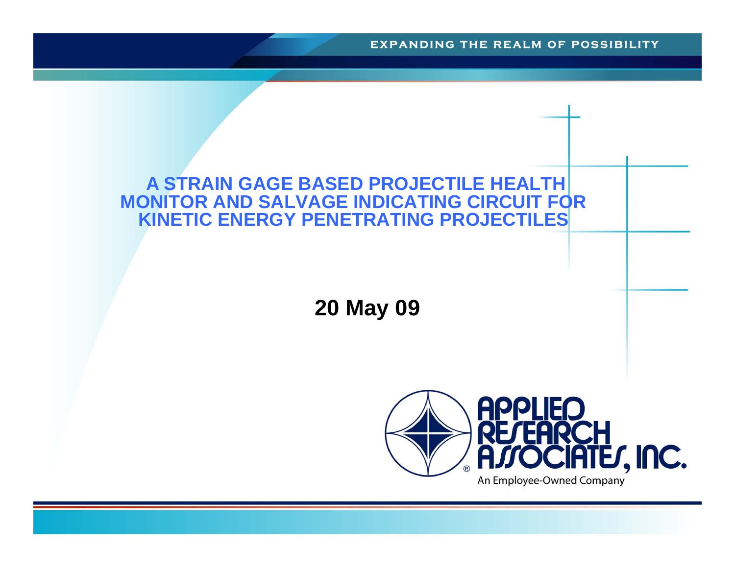**EXPANDING THE REALM OF POSSIBILITY** 

#### **A STRAIN GAGE BASED PROJECTILE HEALTH MONITOR AND SALVAGE INDICATING CIRCUIT FOR KINETIC ENERGY PENETRATING PROJECTILES**

**20 May 09**

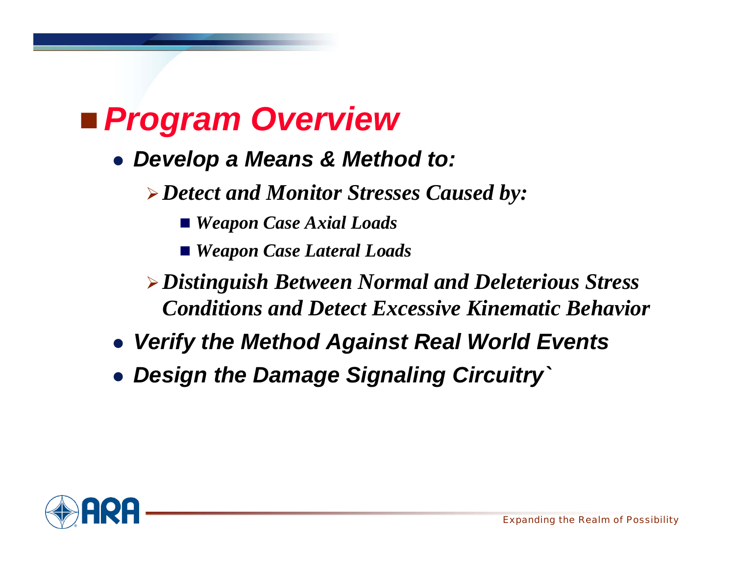## *Program Overview*

- *Develop a Means & Method to:*
	- *Detect and Monitor Stresses Caused by:*
		- *Weapon Case Axial Loads*
		- *Weapon Case Lateral Loads*
	- *Distinguish Between Normal and Deleterious Stress Conditions and Detect Excessive Kinematic Behavior*
- *Verify the Method Against Real World Events*
- *Design the Damage Signaling Circuitry`*

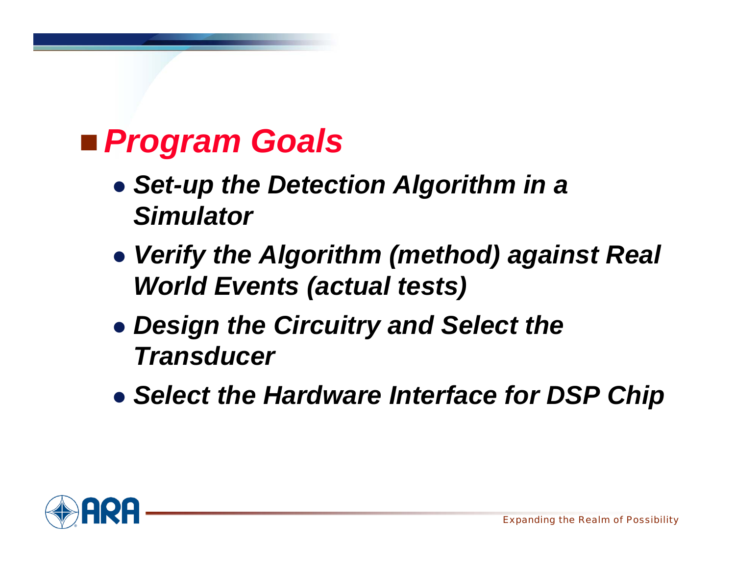## *Program Goals*

- *Set-up the Detection Algorithm in a Simulator*
- *Verify the Algorithm (method) against Real World Events (actual tests)*
- *Design the Circuitry and Select the Transducer*
- *Select the Hardware Interface for DSP Chip*

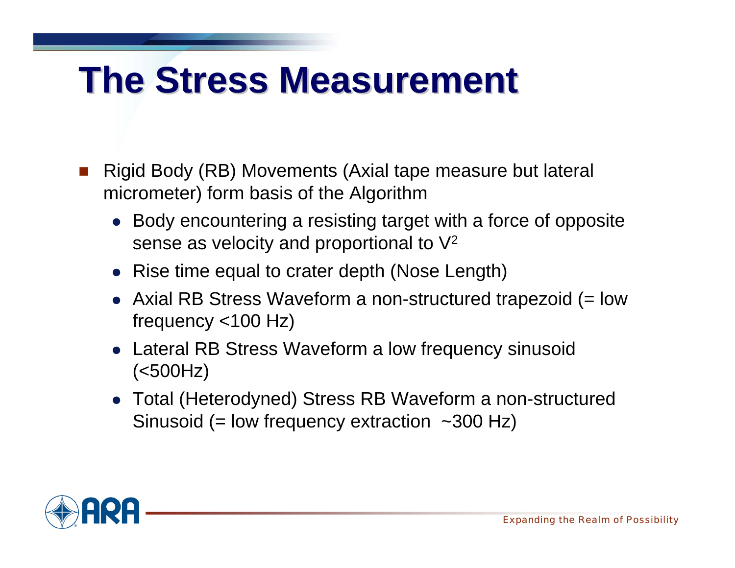# **The Stress Measurement The Stress Measurement**

- u, Rigid Body (RB) Movements (Axial tape measure but lateral micrometer) form basis of the Algorithm
	- Body encountering a resisting target with a force of opposite sense as velocity and proportional to V2
	- Rise time equal to crater depth (Nose Length)
	- Axial RB Stress Waveform a non-structured trapezoid (= low frequency <100 Hz)
	- Lateral RB Stress Waveform a low frequency sinusoid (<500Hz)
	- Total (Heterodyned) Stress RB Waveform a non-structured Sinusoid (= low frequency extraction  $\sim$ 300 Hz)

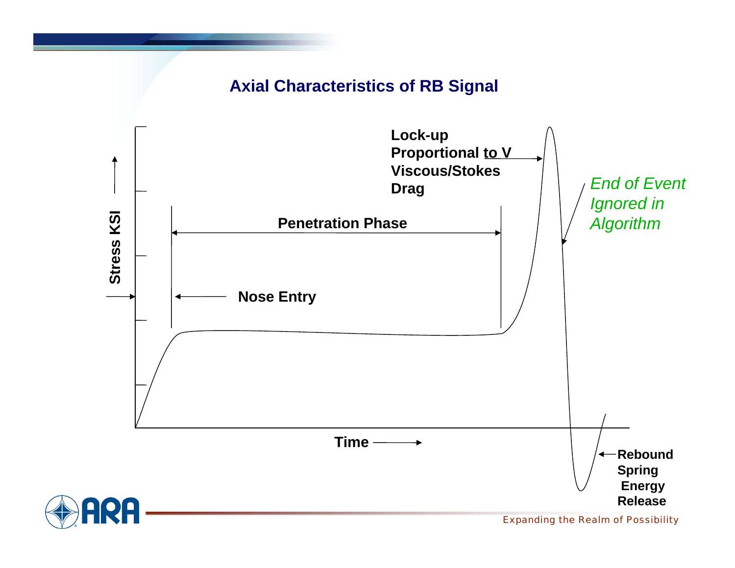#### **Axial Characteristics of RB Signal**



*Expanding the Realm of Possibility*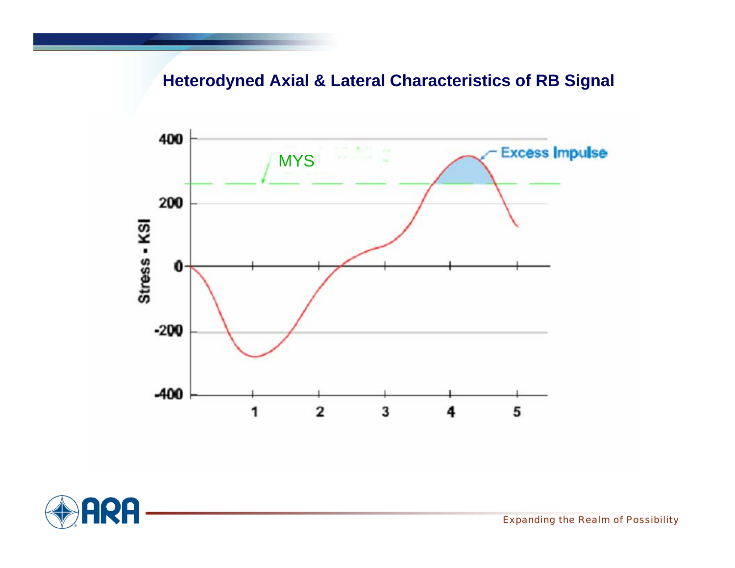### **Heterodyned Axial & Lateral Characteristics of RB Signal**





*Expanding the Realm of Possibility*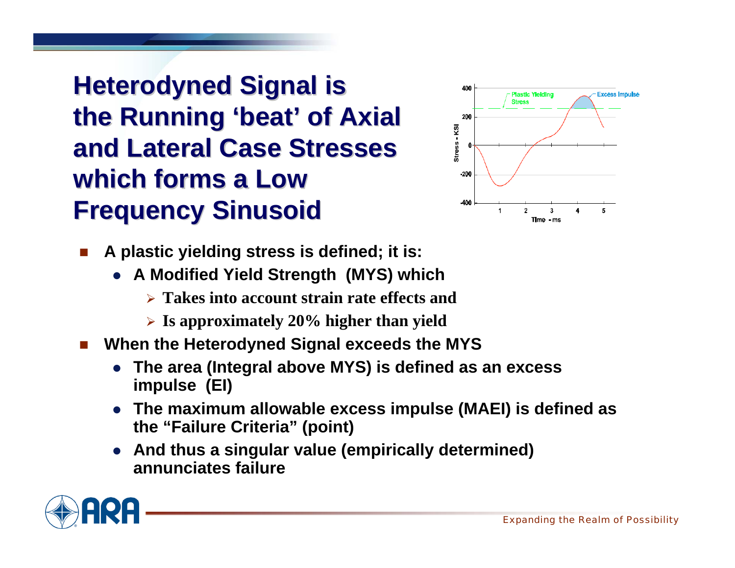### **Heterodyned Signal is the Running 'beat' of Axial and Lateral Case Stresses and Lateral Case Stresses which forms a Low Frequency Sinusoid Frequency Sinusoid**



- Π **A plastic yielding stress is defined; it is:**
	- **A Modified Yield Strength (MYS) which**
		- **Takes into account strain rate effects and**
		- **Is approximately 20% higher than yield**
- Π **When the Heterodyned Signal exceeds the MYS**
	- **The area (Integral above MYS) is defined as an excess impulse (EI)**
	- **The maximum allowable excess impulse (MAEI) is defined as the "Failure Criteria" (point)**
	- $\bullet$  **And thus a singular value (empirically determined) annunciates failure**

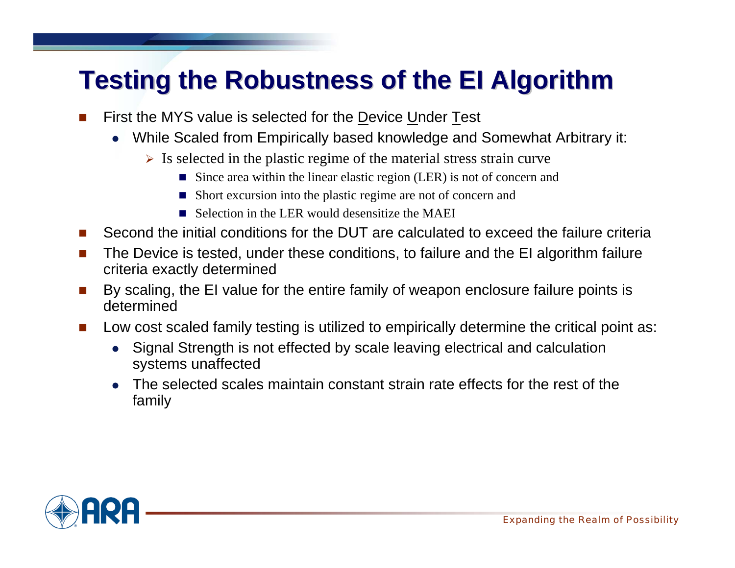### **Testing the Robustness of the EI Algorithm Testing the Robustness of the EI Algorithm**

- П First the MYS value is selected for the Device Under Test
	- $\bullet$  While Scaled from Empirically based knowledge and Somewhat Arbitrary it:
		- $\triangleright$  Is selected in the plastic regime of the material stress strain curve
			- Since area within the linear elastic region (LER) is not of concern and
			- Short excursion into the plastic regime are not of concern and
			- Selection in the LER would desensitize the MAEI
- **The State** Second the initial conditions for the DUT are calculated to exceed the failure criteria
- П The Device is tested, under these conditions, to failure and the EI algorithm failure criteria exactly determined
- **The State**  By scaling, the EI value for the entire family of weapon enclosure failure points is determined
- **The State**  Low cost scaled family testing is utilized to empirically determine the critical point as:
	- $\bullet$  Signal Strength is not effected by scale leaving electrical and calculation systems unaffected
	- The selected scales maintain constant strain rate effects for the rest of the family

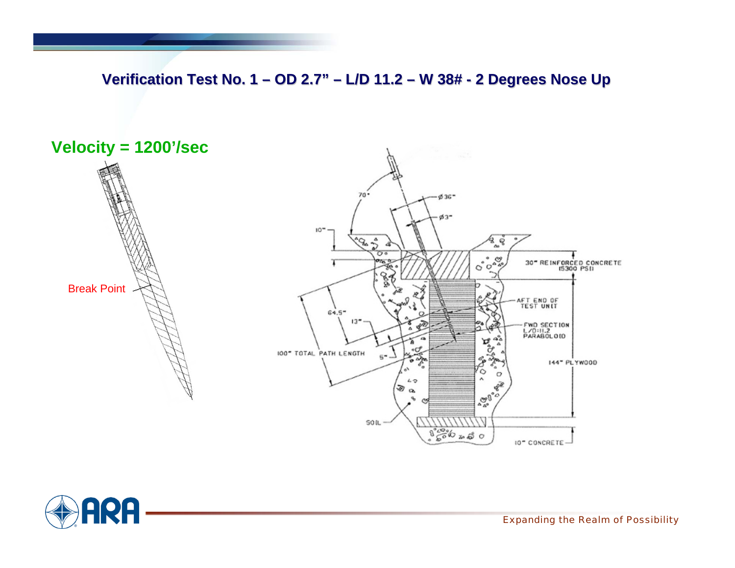**Verification Test No. 1 – OD 2.7" – L/D 11.2 – W 38# - 2 Degrees Nose Up** 





*Expanding the Realm of Possibility*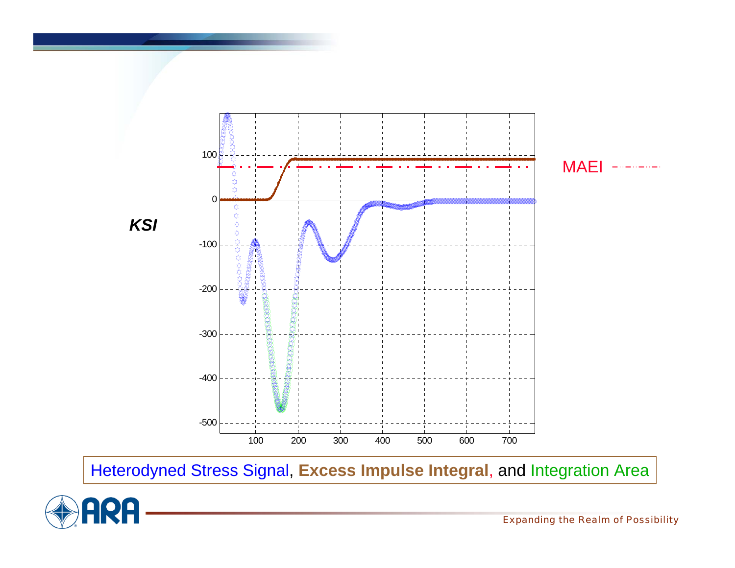

Heterodyned Stress Signal, **Excess Impulse Integral**, and Integration Area

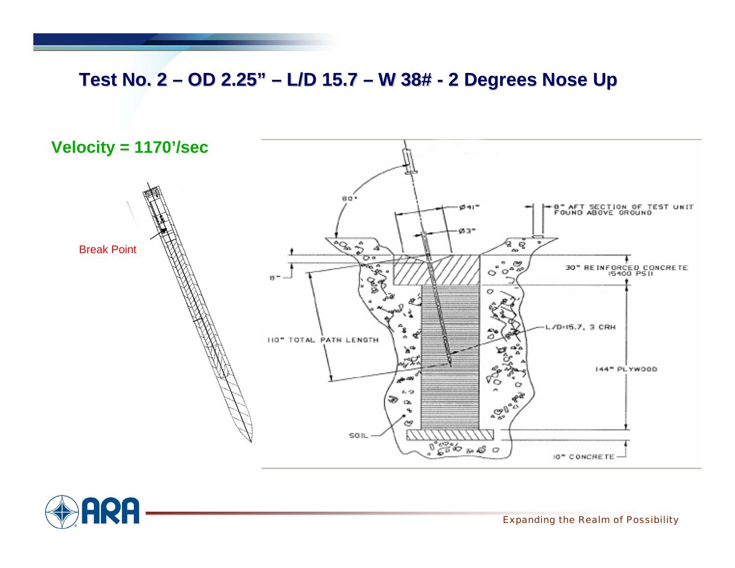### Test No. 2 – OD 2.25" – L/D 15.7 – W 38# - 2 Degrees Nose Up



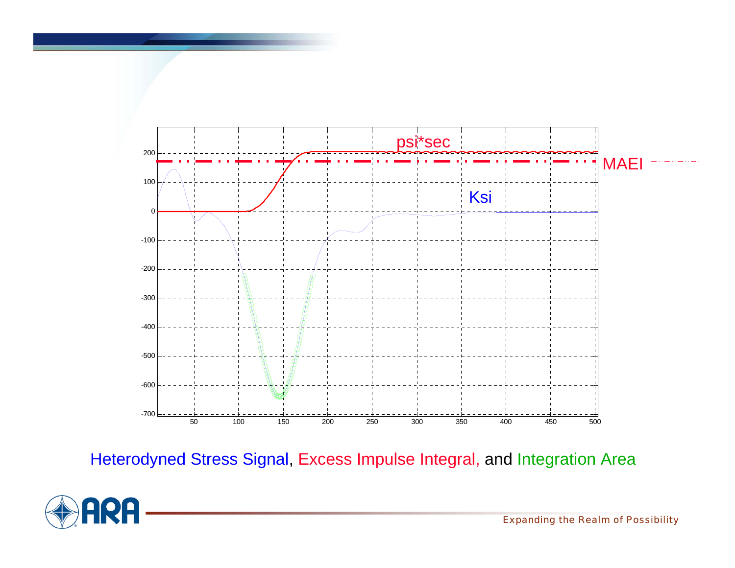

Heterodyned Stress Signal, Excess Impulse Integral, and Integration Area



*Expanding the Realm of Possibility*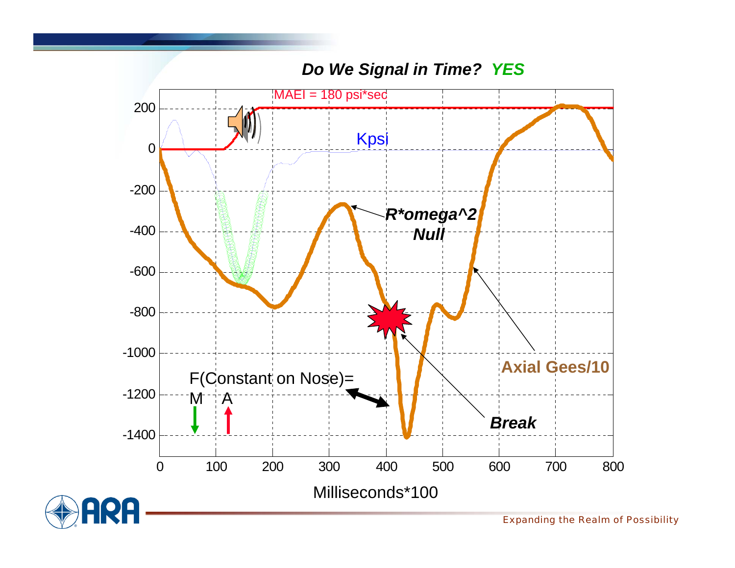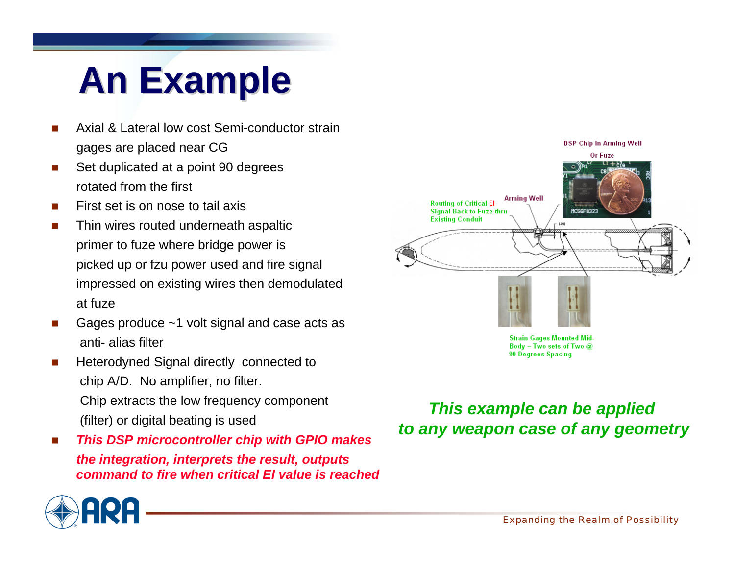# **An Example An Example**

- Е Axial & Lateral low cost Semi-conductor strain gages are placed near CG
- Е Set duplicated at a point 90 degrees rotated from the first
- Е First set is on nose to tail axis
- Е Thin wires routed underneath aspaltic primer to fuze where bridge power is picked up or fzu power used and fire signal impressed on existing wires then demodulated at fuze
- Е Gages produce ~1 volt signal and case acts as anti- alias filter
- Е Heterodyned Signal directly connected to chip A/D. No amplifier, no filter. Chip extracts the low frequency component (filter) or digital beating is used
- Е *This DSP microcontroller chip with GPIO makes the integration, interprets the result, outputs command to fire when critical EI value is reached*



**Strain Gages Mounted Mid-**Body - Two sets of Two @ **90 Degrees Spacing** 

*This example can be applied to any weapon case of any geometry*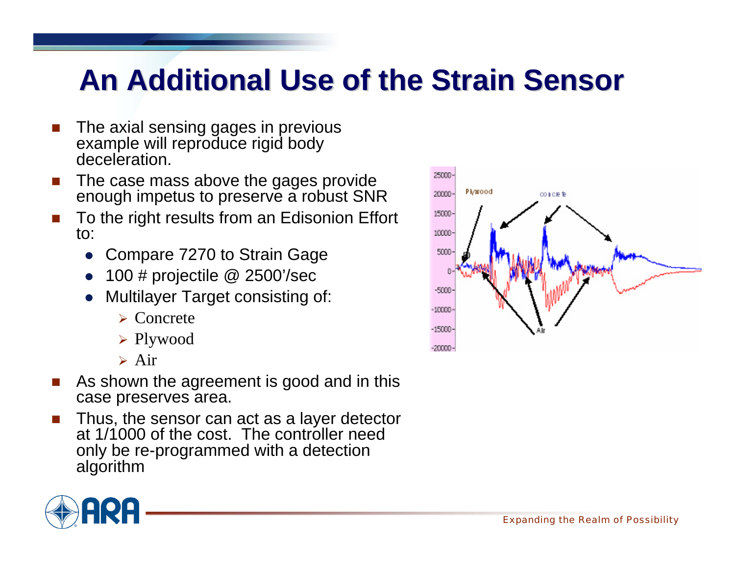## **An Additional Use of the Strain Sensor An Additional Use of the Strain Sensor**

- Π The axial sensing gages in previous example will reproduce rigid body deceleration.
- Π The case mass above the gages provide enough impetus to preserve a robust SNR
- Π To the right results from an Edisonion Effort to:
	- $\bullet$ Compare 7270 to Strain Gage
	- $\bullet$ 100 # projectile @ 2500'/sec
	- $\bullet$  Multilayer Target consisting of:
		- Concrete
		- Plywood
		- Air
- π As shown the agreement is good and in this case preserves area.
- Π Thus, the sensor can act as a layer detector at 1/1000 of the cost. The controller need only be re-programmed with a detection algorithm



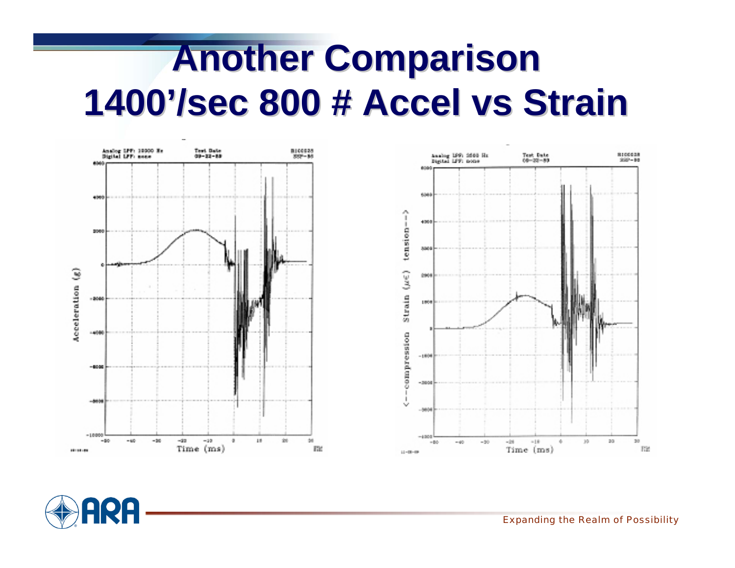# **Another Comparison 1400'/sec 800 # Accel vs Strain**